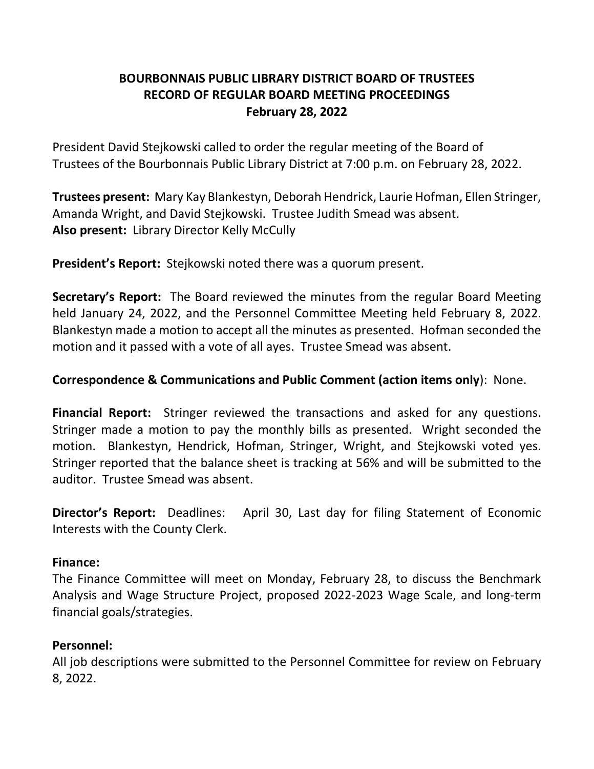# **BOURBONNAIS PUBLIC LIBRARY DISTRICT BOARD OF TRUSTEES RECORD OF REGULAR BOARD MEETING PROCEEDINGS February 28, 2022**

President David Stejkowski called to order the regular meeting of the Board of Trustees of the Bourbonnais Public Library District at 7:00 p.m. on February 28, 2022.

**Trustees present:** Mary Kay Blankestyn, Deborah Hendrick, Laurie Hofman, Ellen Stringer, Amanda Wright, and David Stejkowski. Trustee Judith Smead was absent. **Also present:** Library Director Kelly McCully

**President's Report:** Stejkowski noted there was a quorum present.

**Secretary's Report:** The Board reviewed the minutes from the regular Board Meeting held January 24, 2022, and the Personnel Committee Meeting held February 8, 2022. Blankestyn made a motion to accept all the minutes as presented. Hofman seconded the motion and it passed with a vote of all ayes. Trustee Smead was absent.

### **Correspondence & Communications and Public Comment (action items only**): None.

**Financial Report:** Stringer reviewed the transactions and asked for any questions. Stringer made a motion to pay the monthly bills as presented. Wright seconded the motion. Blankestyn, Hendrick, Hofman, Stringer, Wright, and Stejkowski voted yes. Stringer reported that the balance sheet is tracking at 56% and will be submitted to the auditor. Trustee Smead was absent.

**Director's Report:** Deadlines: April 30, Last day for filing Statement of Economic Interests with the County Clerk.

#### **Finance:**

The Finance Committee will meet on Monday, February 28, to discuss the Benchmark Analysis and Wage Structure Project, proposed 2022-2023 Wage Scale, and long-term financial goals/strategies.

#### **Personnel:**

All job descriptions were submitted to the Personnel Committee for review on February 8, 2022.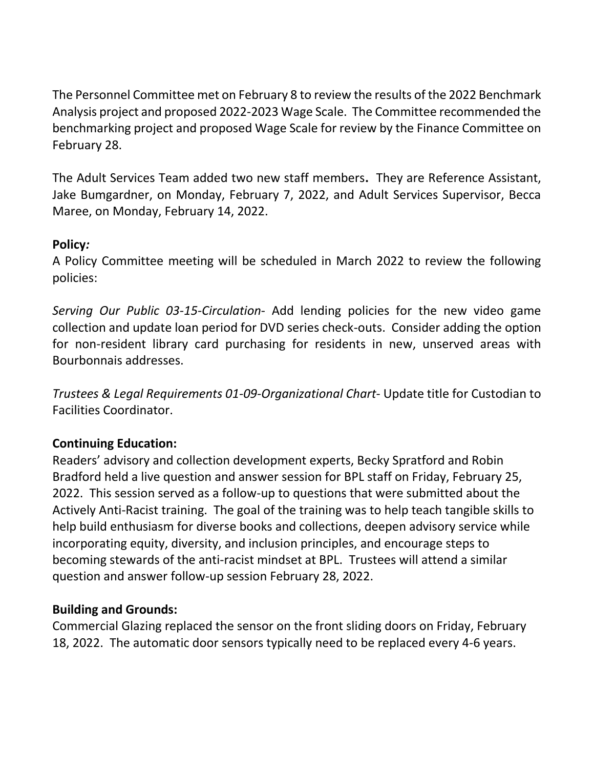The Personnel Committee met on February 8 to review the results of the 2022 Benchmark Analysis project and proposed 2022-2023 Wage Scale. The Committee recommended the benchmarking project and proposed Wage Scale for review by the Finance Committee on February 28.

The Adult Services Team added two new staff members**.** They are Reference Assistant, Jake Bumgardner, on Monday, February 7, 2022, and Adult Services Supervisor, Becca Maree, on Monday, February 14, 2022.

## **Policy***:*

A Policy Committee meeting will be scheduled in March 2022 to review the following policies:

*Serving Our Public 03-15-Circulation*- Add lending policies for the new video game collection and update loan period for DVD series check-outs. Consider adding the option for non-resident library card purchasing for residents in new, unserved areas with Bourbonnais addresses.

*Trustees & Legal Requirements 01-09-Organizational Chart*- Update title for Custodian to Facilities Coordinator.

## **Continuing Education:**

Readers' advisory and collection development experts, Becky Spratford and Robin Bradford held a live question and answer session for BPL staff on Friday, February 25, 2022. This session served as a follow-up to questions that were submitted about the Actively Anti-Racist training. The goal of the training was to help teach tangible skills to help build enthusiasm for diverse books and collections, deepen advisory service while incorporating equity, diversity, and inclusion principles, and encourage steps to becoming stewards of the anti-racist mindset at BPL. Trustees will attend a similar question and answer follow-up session February 28, 2022.

### **Building and Grounds:**

Commercial Glazing replaced the sensor on the front sliding doors on Friday, February 18, 2022. The automatic door sensors typically need to be replaced every 4-6 years.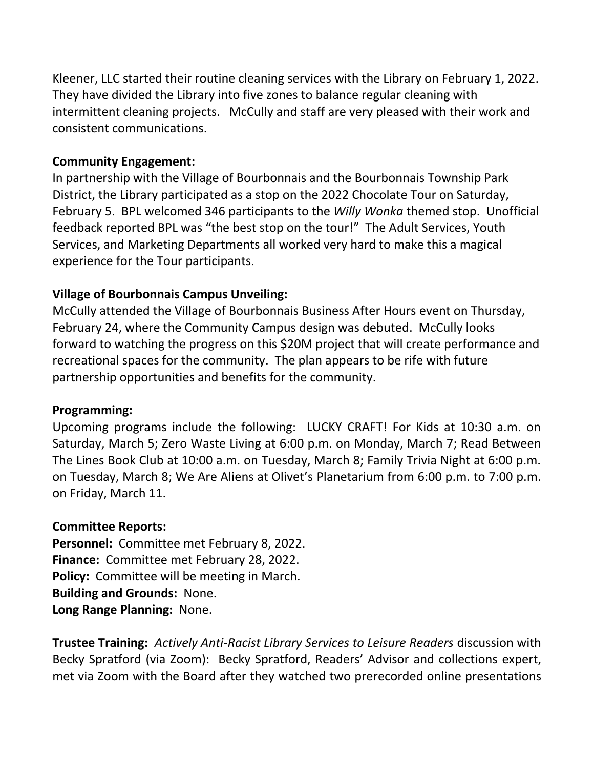Kleener, LLC started their routine cleaning services with the Library on February 1, 2022. They have divided the Library into five zones to balance regular cleaning with intermittent cleaning projects. McCully and staff are very pleased with their work and consistent communications.

### **Community Engagement:**

In partnership with the Village of Bourbonnais and the Bourbonnais Township Park District, the Library participated as a stop on the 2022 Chocolate Tour on Saturday, February 5. BPL welcomed 346 participants to the *Willy Wonka* themed stop. Unofficial feedback reported BPL was "the best stop on the tour!" The Adult Services, Youth Services, and Marketing Departments all worked very hard to make this a magical experience for the Tour participants.

## **Village of Bourbonnais Campus Unveiling:**

McCully attended the Village of Bourbonnais Business After Hours event on Thursday, February 24, where the Community Campus design was debuted. McCully looks forward to watching the progress on this \$20M project that will create performance and recreational spaces for the community. The plan appears to be rife with future partnership opportunities and benefits for the community.

### **Programming:**

Upcoming programs include the following: LUCKY CRAFT! For Kids at 10:30 a.m. on Saturday, March 5; Zero Waste Living at 6:00 p.m. on Monday, March 7; Read Between The Lines Book Club at 10:00 a.m. on Tuesday, March 8; Family Trivia Night at 6:00 p.m. on Tuesday, March 8; We Are Aliens at Olivet's Planetarium from 6:00 p.m. to 7:00 p.m. on Friday, March 11.

### **Committee Reports:**

**Personnel:** Committee met February 8, 2022. **Finance:** Committee met February 28, 2022. **Policy:** Committee will be meeting in March. **Building and Grounds:** None. **Long Range Planning:** None.

**Trustee Training:** *Actively Anti-Racist Library Services to Leisure Readers* discussion with Becky Spratford (via Zoom): Becky Spratford, Readers' Advisor and collections expert, met via Zoom with the Board after they watched two prerecorded online presentations